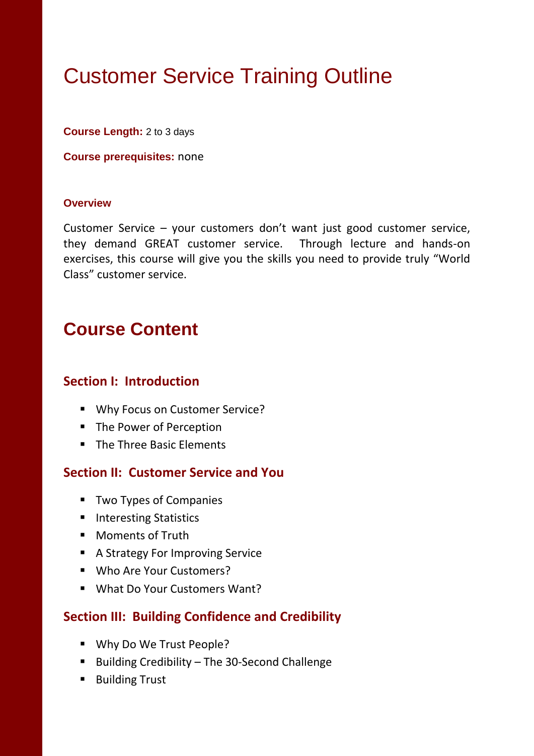# Customer Service Training Outline

**Course Length:** 2 to 3 days

**Course prerequisites:** none

#### **Overview**

Customer Service – your customers don't want just good customer service, they demand GREAT customer service. Through lecture and hands-on exercises, this course will give you the skills you need to provide truly "World Class" customer service.

# **Course Content**

#### **Section I: Introduction**

- **Why Focus on Customer Service?**
- The Power of Perception
- The Three Basic Elements

#### **Section II: Customer Service and You**

- **Two Types of Companies**
- **Interesting Statistics**
- **Moments of Truth**
- **A Strategy For Improving Service**
- Who Are Your Customers?
- **What Do Your Customers Want?**

#### **Section III: Building Confidence and Credibility**

- Why Do We Trust People?
- Building Credibility The 30-Second Challenge
- Building Trust